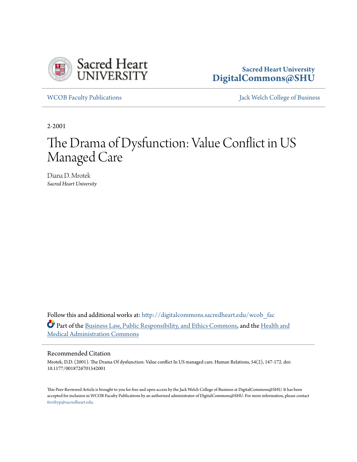

**Sacred Heart University [DigitalCommons@SHU](http://digitalcommons.sacredheart.edu?utm_source=digitalcommons.sacredheart.edu%2Fwcob_fac%2F319&utm_medium=PDF&utm_campaign=PDFCoverPages)**

[WCOB Faculty Publications](http://digitalcommons.sacredheart.edu/wcob_fac?utm_source=digitalcommons.sacredheart.edu%2Fwcob_fac%2F319&utm_medium=PDF&utm_campaign=PDFCoverPages) [Jack Welch College of Business](http://digitalcommons.sacredheart.edu/wcob?utm_source=digitalcommons.sacredheart.edu%2Fwcob_fac%2F319&utm_medium=PDF&utm_campaign=PDFCoverPages)

2-2001

# The Drama of Dysfunction: Value Conflict in US Managed Care

Diana D. Mrotek *Sacred Heart University*

Follow this and additional works at: [http://digitalcommons.sacredheart.edu/wcob\\_fac](http://digitalcommons.sacredheart.edu/wcob_fac?utm_source=digitalcommons.sacredheart.edu%2Fwcob_fac%2F319&utm_medium=PDF&utm_campaign=PDFCoverPages) Part of the [Business Law, Public Responsibility, and Ethics Commons,](http://network.bepress.com/hgg/discipline/628?utm_source=digitalcommons.sacredheart.edu%2Fwcob_fac%2F319&utm_medium=PDF&utm_campaign=PDFCoverPages) and the [Health and](http://network.bepress.com/hgg/discipline/663?utm_source=digitalcommons.sacredheart.edu%2Fwcob_fac%2F319&utm_medium=PDF&utm_campaign=PDFCoverPages) [Medical Administration Commons](http://network.bepress.com/hgg/discipline/663?utm_source=digitalcommons.sacredheart.edu%2Fwcob_fac%2F319&utm_medium=PDF&utm_campaign=PDFCoverPages)

# Recommended Citation

Mrotek, D.D. (2001). The Drama Of dysfunction: Value conflict In US managed care. Human Relations, 54(2), 147-172. doi: 10.1177/0018726701542001

This Peer-Reviewed Article is brought to you for free and open access by the Jack Welch College of Business at DigitalCommons@SHU. It has been accepted for inclusion in WCOB Faculty Publications by an authorized administrator of DigitalCommons@SHU. For more information, please contact [ferribyp@sacredheart.edu](mailto:ferribyp@sacredheart.edu).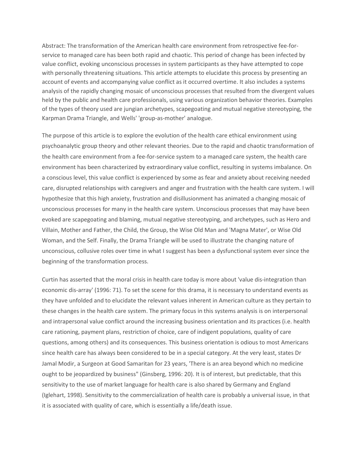Abstract: The transformation of the American health care environment from retrospective fee-forservice to managed care has been both rapid and chaotic. This period of change has been infected by value conflict, evoking unconscious processes in system participants as they have attempted to cope with personally threatening situations. This article attempts to elucidate this process by presenting an account of events and accompanying value conflict as it occurred overtime. It also includes a systems analysis of the rapidly changing mosaic of unconscious processes that resulted from the divergent values held by the public and health care professionals, using various organization behavior theories. Examples of the types of theory used are jungian archetypes, scapegoating and mutual negative stereotyping, the Karpman Drama Triangle, and Wells' 'group-as-mother' analogue.

The purpose of this article is to explore the evolution of the health care ethical environment using psychoanalytic group theory and other relevant theories. Due to the rapid and chaotic transformation of the health care environment from a fee-for-service system to a managed care system, the health care environment has been characterized by extraordinary value conflict, resulting in systems imbalance. On a conscious level, this value conflict is experienced by some as fear and anxiety about receiving needed care, disrupted relationships with caregivers and anger and frustration with the health care system. I will hypothesize that this high anxiety, frustration and disillusionment has animated a changing mosaic of unconscious processes for many in the health care system. Unconscious processes that may have been evoked are scapegoating and blaming, mutual negative stereotyping, and archetypes, such as Hero and Villain, Mother and Father, the Child, the Group, the Wise Old Man and 'Magna Mater', or Wise Old Woman, and the Self. Finally, the Drama Triangle will be used to illustrate the changing nature of unconscious, collusive roles over time in what I suggest has been a dysfunctional system ever since the beginning of the transformation process.

Curtin has asserted that the moral crisis in health care today is more about 'value dis-integration than economic dis-array' (1996: 71). To set the scene for this drama, it is necessary to understand events as they have unfolded and to elucidate the relevant values inherent in American culture as they pertain to these changes in the health care system. The primary focus in this systems analysis is on interpersonal and intrapersonal value conflict around the increasing business orientation and its practices (i.e. health care rationing, payment plans, restriction of choice, care of indigent populations, quality of care questions, among others) and its consequences. This business orientation is odious to most Americans since health care has always been considered to be in a special category. At the very least, states Dr Jamal Modir, a Surgeon at Good Samaritan for 23 years, 'There is an area beyond which no medicine ought to be jeopardized by business" (Ginsberg, 1996: 20). It is of interest, but predictable, that this sensitivity to the use of market language for health care is also shared by Germany and England (Iglehart, 1998). Sensitivity to the commercialization of health care is probably a universal issue, in that it is associated with quality of care, which is essentially a life/death issue.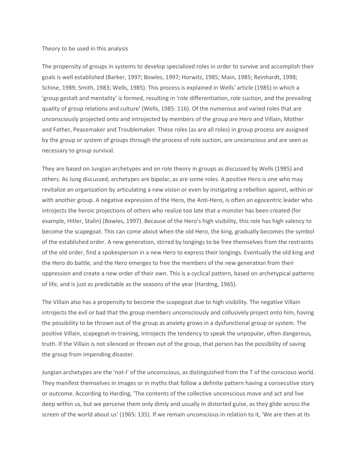#### Theory to be used in this analysis

The propensity of groups in systems to develop specialized roles in order to survive and accomplish their goals is well established (Barker, 1997; Bowles, 1997; Horwitz, 1985; Main, 1985; Reinhardt, 1998; Schine, 1989; Smith, 1983; Wells, 1985). This process is explained in Wells' article (1985) in which a 'group gestalt and mentality' is formed, resulting in 'role differentiation, role suction, and the prevailing quality of group relations and culture' (Wells, 1985: 116). Of the numerous and varied roles that are unconsciously projected onto and introjected by members of the group are Hero and Villain, Mother and Father, Peacemaker and Troublemaker. These roles (as are all roles) in group process are assigned by the group or system of groups through the process of role suction, are unconscious and are seen as necessary to group survival.

They are based on Jungian archetypes and on role theory in groups as discussed by Wells (1985) and others. As Jung discussed, archetypes are bipolar, as are some roles. A positive Hero is one who may revitalize an organization by articulating a new vision or even by instigating a rebellion against, within or with another group. A negative expression of the Hero, the Anti-Hero, is often an egocentric leader who introjects the heroic projections of others who realize too late that a monster has been created (for example, Hitler, Stalin) (Bowles, 1997). Because of the Hero's high visibility, this role has high valency to become the scapegoat. This can come about when the old Hero, the king, gradually becomes the symbol of the established order. A new generation, stirred by longings to be free themselves from the restraints of the old order, find a spokesperson in a new Hero to express their longings. Eventually the old king and the Hero do battle, and the Hero emerges to free the members of the new generation from their oppression and create a new order of their own. This is a cyclical pattern, based on archetypical patterns of life, and is just as predictable as the seasons of the year (Hardmg, 1965).

The Villain also has a propensity to become the scapegoat due to high visibility. The negative Villain introjects the evil or bad that the group members unconsciously and collusively project onto him, having the possibility to be thrown out of the group as anxiety grows in a dysfunctional group or system. The positive Villain, scapegoat-in-training, introjects the tendency to speak the unpopular, often dangerous, truth. If the Villain is not silenced or thrown out of the group, that person has the possibility of saving the group from impending disaster.

Jungian archetypes are the 'not-I' of the unconscious, as distinguished from the T of the conscious world. They manifest themselves in images or in myths that follow a definite pattern having a consecutive story or outcome. According to Harding, 'The contents of the collective unconscious move and act and live deep within us, but we perceive them only dimly and usually in distorted guise, as they glide across the screen of the world about us' (1965: 135). If we remain unconscious in relation to it, 'We are then at its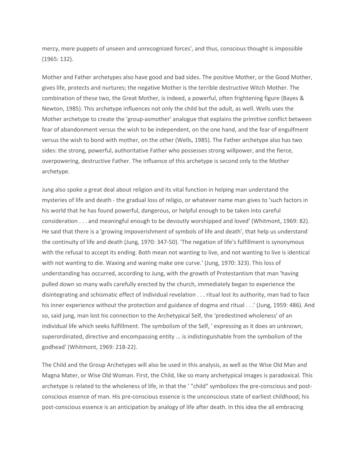mercy, mere puppets of unseen and unrecognized forces', and thus, conscious thought is impossible (1965: 132).

Mother and Father archetypes also have good and bad sides. The positive Mother, or the Good Mother, gives life, protects and nurtures; the negative Mother is the terrible destructive Witch Mother. The combination of these two, the Great Mother, is indeed, a powerful, often frightening figure (Bayes & Newton, 1985). This archetype influences not only the child but the adult, as well. Wells uses the Mother archetype to create the 'group-asmother' analogue that explains the primitive conflict between fear of abandonment versus the wish to be independent, on the one hand, and the fear of engulfment versus the wish to bond with mother, on the other (Wells, 1985). The Father archetype also has two sides: the strong, powerful, authoritative Father who possesses strong willpower, and the fierce, overpowering, destructive Father. The influence of this archetype is second only to the Mother archetype.

Jung also spoke a great deal about religion and its vital function in helping man understand the mysteries of life and death - the gradual loss of religio, or whatever name man gives to 'such factors in his world that he has found powerful, dangerous, or helpful enough to be taken into careful consideration . . . and meaningful enough to be devoutly worshipped and loved' (Whitmont, 1969: 82). He said that there is a 'growing impoverishment of symbols of life and death', that help us understand the continuity of life and death (Jung, 1970: 347-50). 'The negation of life's fulfillment is synonymous with the refusal to accept its ending. Both mean not wanting to live, and not wanting to live is identical with not wanting to die. Waxing and waning make one curve.' (Jung, 1970: 323). This loss of understanding has occurred, according to Jung, with the growth of Protestantism that man 'having pulled down so many walls carefully erected by the church, immediately began to experience the disintegrating and schismatic effect of individual revelation . . . ritual lost its authority, man had to face his inner experience without the protection and guidance of dogma and ritual . . .' (Jung, 1959: 486). And so, said jung, man lost his connection to the Archetypical Self, the 'predestined wholeness' of an individual life which seeks fulfillment. The symbolism of the Self, ' expressing as it does an unknown, superordinated, directive and encompassing entity ... is indistinguishable from the symbolism of the godhead' (Whitmont, 1969: 218-22).

The Child and the Group Archetypes will also be used in this analysis, as well as the Wise Old Man and Magna Mater, or Wise Old Woman. First, the Child, like so many archetypical images is paradoxical. This archetype is related to the wholeness of life, in that the ' "child" symbolizes the pre-conscious and postconscious essence of man. His pre-conscious essence is the unconscious state of earliest childhood; his post-conscious essence is an anticipation by analogy of life after death. In this idea the all embracing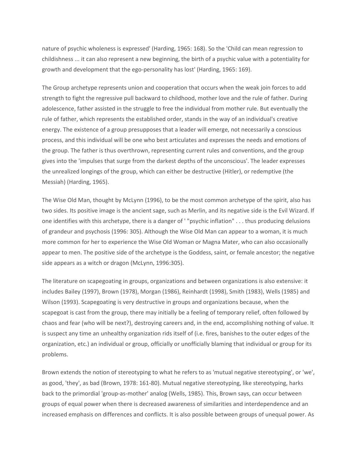nature of psychic wholeness is expressed' (Harding, 1965: 168). So the 'Child can mean regression to childishness ... it can also represent a new beginning, the birth of a psychic value with a potentiality for growth and development that the ego-personality has lost' (Harding, 1965: 169).

The Group archetype represents union and cooperation that occurs when the weak join forces to add strength to fight the regressive pull backward to childhood, mother love and the rule of father. During adolescence, father assisted in the struggle to free the individual from mother rule. But eventually the rule of father, which represents the established order, stands in the way of an individual's creative energy. The existence of a group presupposes that a leader will emerge, not necessarily a conscious process, and this individual will be one who best articulates and expresses the needs and emotions of the group. The father is thus overthrown, representing current rules and conventions, and the group gives into the 'impulses that surge from the darkest depths of the unconscious'. The leader expresses the unrealized longings of the group, which can either be destructive (Hitler), or redemptive (the Messiah) (Harding, 1965).

The Wise Old Man, thought by McLynn (1996), to be the most common archetype of the spirit, also has two sides. Its positive image is the ancient sage, such as Merlin, and its negative side is the Evil Wizard. If one identifies with this archetype, there is a danger of ' "psychic inflation" . . . thus producing delusions of grandeur and psychosis (1996: 305). Although the Wise Old Man can appear to a woman, it is much more common for her to experience the Wise Old Woman or Magna Mater, who can also occasionally appear to men. The positive side of the archetype is the Goddess, saint, or female ancestor; the negative side appears as a witch or dragon (McLynn, 1996:305).

The literature on scapegoating in groups, organizations and between organizations is also extensive: it includes Bailey (1997), Brown (1978), Morgan (1986), Reinhardt (1998), Smith (1983), Wells (1985) and Wilson (1993). Scapegoating is very destructive in groups and organizations because, when the scapegoat is cast from the group, there may initially be a feeling of temporary relief, often followed by chaos and fear (who will be next?), destroying careers and, in the end, accomplishing nothing of value. It is suspect any time an unhealthy organization rids itself of (i.e. fires, banishes to the outer edges of the organization, etc.) an individual or group, officially or unofficially blaming that individual or group for its problems.

Brown extends the notion of stereotyping to what he refers to as 'mutual negative stereotyping', or 'we', as good, 'they', as bad (Brown, 1978: 161-80). Mutual negative stereotyping, like stereotyping, harks back to the primordial 'group-as-mother' analog (Wells, 1985). This, Brown says, can occur between groups of equal power when there is decreased awareness of similarities and interdependence and an increased emphasis on differences and conflicts. It is also possible between groups of unequal power. As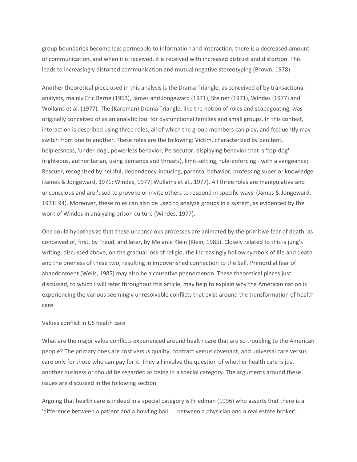group boundaries become less permeable to information and interaction, there is a decreased amount of communication, and when it is received, it is received with increased distrust and distortion. This leads to increasingly distorted communication and mutual negative stereotyping (Brown, 1978).

Another theoretical piece used in this analysis is the Drama Triangle, as conceived of by transactional analysts, mainly Eric Berne (1963), James and Jongeward (1971), Steiner (1971), Windes (1977) and Wollams et al. (1977). The (Karpman) Drama Triangle, like the notion of roles and scapegoating, was originally conceived of as an analytic tool for dysfunctional families and small groups. In this context, interaction is described using three roles, all of which the group members can play, and frequently may switch from one to another. These roles are the following: Victim, characterized by penitent, helplessness, 'under-dog', powerless behavior; Persecutor, displaying behavior that is 'top-dog' (righteous, authoritarian, using demands and threats), limit-setting, rule-enforcing - with a vengeance; Rescuer, recognized by helpful, dependency-inducing, parental behavior, professing superior knowledge (James & Jongeward, 1971; Windes, 1977; Wollams et al., 1977). All three roles are manipulative and unconscious and are 'used to provoke or invite others to respond in specific ways' (James & Jongeward, 1971: 94). Moreover, these roles can also be used to analyze groups in a system, as evidenced by the work of Windes in analyzing prison culture (Windes, 1977).

One could hypothesize that these unconscious processes are animated by the primitive fear of death, as conceived of, first, by Freud, and later, by Melanie Klein (Klein, 1985). Closely related to this is jung's writing, discussed above, on the gradual loss of religio, the increasingly hollow symbols of life and death and the oneness of these two, resulting in impoverished connection to the Self. Primordial fear of abandonment (Wells, 1985) may also be a causative phenomenon. These theoretical pieces just discussed, to which I will refer throughout this article, may help to explain why the American nation is experiencing the various seemingly unresolvable conflicts that exist around the transformation of health care.

#### Values conflict in US health care

What are the major value conflicts experienced around health care that are so troubling to the American people? The primary ones are cost versus quality, contract versus covenant, and universal care versus care only for those who can pay for it. They all involve the question of whether health care is just another business or should be regarded as being in a special category. The arguments around these issues are discussed in the following section.

Arguing that health care is indeed in a special category is Friedman (1996) who asserts that there is a 'difference between a patient and a bowling ball. . . between a physician and a real estate broker'.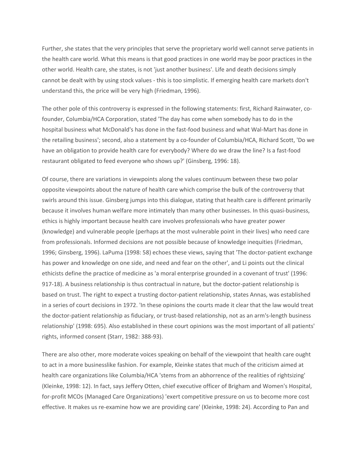Further, she states that the very principles that serve the proprietary world well cannot serve patients in the health care world. What this means is that good practices in one world may be poor practices in the other world. Health care, she states, is not 'just another business'. Life and death decisions simply cannot be dealt with by using stock values - this is too simplistic. If emerging health care markets don't understand this, the price will be very high (Friedman, 1996).

The other pole of this controversy is expressed in the following statements: first, Richard Rainwater, cofounder, Columbia/HCA Corporation, stated 'The day has come when somebody has to do in the hospital business what McDonald's has done in the fast-food business and what Wal-Mart has done in the retailing business'; second, also a statement by a co-founder of Columbia/HCA, Richard Scott, 'Do we have an obligation to provide health care for everybody? Where do we draw the line? Is a fast-food restaurant obligated to feed everyone who shows up?' (Ginsberg, 1996: 18).

Of course, there are variations in viewpoints along the values continuum between these two polar opposite viewpoints about the nature of health care which comprise the bulk of the controversy that swirls around this issue. Ginsberg jumps into this dialogue, stating that health care is different primarily because it involves human welfare more intimately than many other businesses. In this quasi-business, ethics is highly important because health care involves professionals who have greater power (knowledge) and vulnerable people (perhaps at the most vulnerable point in their lives) who need care from professionals. Informed decisions are not possible because of knowledge inequities (Friedman, 1996; Ginsberg, 1996). LaPuma (1998: 58) echoes these views, saying that 'The doctor-patient exchange has power and knowledge on one side, and need and fear on the other', and Li points out the clinical ethicists define the practice of medicine as 'a moral enterprise grounded in a covenant of trust' (1996: 917-18). A business relationship is thus contractual in nature, but the doctor-patient relationship is based on trust. The right to expect a trusting doctor-patient relationship, states Annas, was established in a series of court decisions in 1972. 'In these opinions the courts made it clear that the law would treat the doctor-patient relationship as fiduciary, or trust-based relationship, not as an arm's-length business relationship' (1998: 695). Also established in these court opinions was the most important of all patients' rights, informed consent (Starr, 1982: 388-93).

There are also other, more moderate voices speaking on behalf of the viewpoint that health care ought to act in a more businesslike fashion. For example, Kleinke states that much of the criticism aimed at health care organizations like Columbia/HCA 'stems from an abhorrence of the realities of rightsizing' (Kleinke, 1998: 12). In fact, says Jeffery Otten, chief executive officer of Brigham and Women's Hospital, for-profit MCOs (Managed Care Organizations) 'exert competitive pressure on us to become more cost effective. It makes us re-examine how we are providing care' (Kleinke, 1998: 24). According to Pan and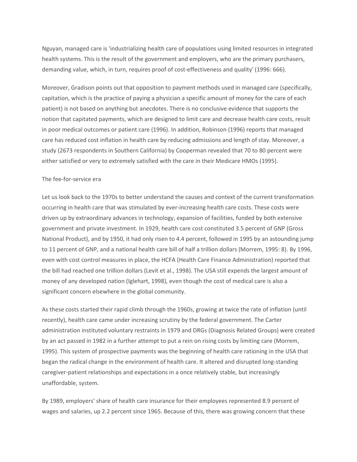Nguyan, managed care is 'industrializing health care of populations using limited resources in integrated health systems. This is the result of the government and employers, who are the primary purchasers, demanding value, which, in turn, requires proof of cost-effectiveness and quality' (1996: 666).

Moreover, Gradison points out that opposition to payment methods used in managed care (specifically, capitation, which is the practice of paying a physician a specific amount of money for the care of each patient) is not based on anything but anecdotes. There is no conclusive evidence that supports the notion that capitated payments, which are designed to limit care and decrease health care costs, result in poor medical outcomes or patient care (1996). In addition, Robinson (1996) reports that managed care has reduced cost inflation in health care by reducing admissions and length of stay. Moreover, a study (2673 respondents in Southern California) by Cooperman revealed that 70 to 80 percent were either satisfied or very to extremely satisfied with the care in their Medicare HMOs (1995).

#### The fee-for-service era

Let us look back to the 1970s to better understand the causes and context of the current transformation occurring in health care that was stimulated by ever-increasing health care costs. These costs were driven up by extraordinary advances in technology, expansion of facilities, funded by both extensive government and private investment. In 1929, health care cost constituted 3.5 percent of GNP (Gross National Product), and by 1950, it had only risen to 4.4 percent, followed in 1995 by an astounding jump to 11 percent of GNP, and a national health care bill of half a trillion dollars (Morrem, 1995: 8). By 1996, even with cost control measures in place, the HCFA (Health Care Finance Administration) reported that the bill had reached one trillion dollars (Levit et al., 1998). The USA still expends the largest amount of money of any developed nation (Iglehart, 1998), even though the cost of medical care is also a significant concern elsewhere in the global community.

As these costs started their rapid climb through the 1960s, growing at twice the rate of inflation (until recently), health care came under increasing scrutiny by the federal government. The Carter administration instituted voluntary restraints in 1979 and DRGs (Diagnosis Related Groups) were created by an act passed in 1982 in a further attempt to put a rein on rising costs by limiting care (Morrem, 1995). This system of prospective payments was the beginning of health care rationing in the USA that began the radical change in the environment of health care. It altered and disrupted long-standing caregiver-patient relationships and expectations in a once relatively stable, but increasingly unaffordable, system.

By 1989, employers' share of health care insurance for their employees represented 8.9 percent of wages and salaries, up 2.2 percent since 1965. Because of this, there was growing concern that these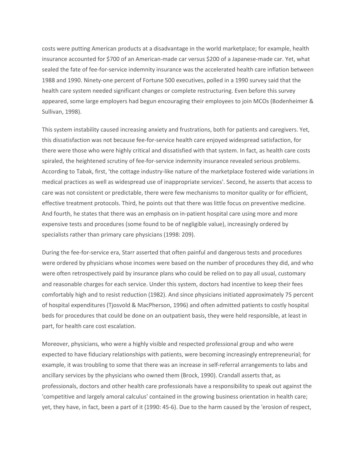costs were putting American products at a disadvantage in the world marketplace; for example, health insurance accounted for \$700 of an American-made car versus \$200 of a Japanese-made car. Yet, what sealed the fate of fee-for-service indemnity insurance was the accelerated health care inflation between 1988 and 1990. Ninety-one percent of Fortune 500 executives, polled in a 1990 survey said that the health care system needed significant changes or complete restructuring. Even before this survey appeared, some large employers had begun encouraging their employees to join MCOs (Bodenheimer & Sullivan, 1998).

This system instability caused increasing anxiety and frustrations, both for patients and caregivers. Yet, this dissatisfaction was not because fee-for-service health care enjoyed widespread satisfaction, for there were those who were highly critical and dissatisfied with that system. In fact, as health care costs spiraled, the heightened scrutiny of fee-for-service indemnity insurance revealed serious problems. According to Tabak, first, 'the cottage industry-like nature of the marketplace fostered wide variations in medical practices as well as widespread use of inappropriate services'. Second, he asserts that access to care was not consistent or predictable, there were few mechanisms to monitor quality or for efficient, effective treatment protocols. Third, he points out that there was little focus on preventive medicine. And fourth, he states that there was an emphasis on in-patient hospital care using more and more expensive tests and procedures (some found to be of negligible value), increasingly ordered by specialists rather than primary care physicians (1998: 209).

During the fee-for-service era, Starr asserted that often painful and dangerous tests and procedures were ordered by physicians whose incomes were based on the number of procedures they did, and who were often retrospectively paid by insurance plans who could be relied on to pay all usual, customary and reasonable charges for each service. Under this system, doctors had incentive to keep their fees comfortably high and to resist reduction (1982). And since physicians initiated approximately 75 percent of hospital expenditures (Tjosvold & MacPherson, 1996) and often admitted patients to costly hospital beds for procedures that could be done on an outpatient basis, they were held responsible, at least in part, for health care cost escalation.

Moreover, physicians, who were a highly visible and respected professional group and who were expected to have fiduciary relationships with patients, were becoming increasingly entrepreneurial; for example, it was troubling to some that there was an increase in self-referral arrangements to labs and ancillary services by the physicians who owned them (Brock, 1990). Crandall asserts that, as professionals, doctors and other health care professionals have a responsibility to speak out against the 'competitive and largely amoral calculus' contained in the growing business orientation in health care; yet, they have, in fact, been a part of it (1990: 45-6). Due to the harm caused by the 'erosion of respect,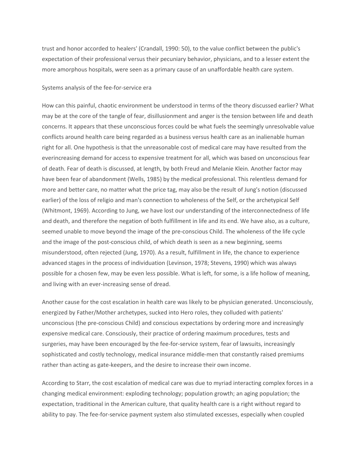trust and honor accorded to healers' (Crandall, 1990: 50), to the value conflict between the public's expectation of their professional versus their pecuniary behavior, physicians, and to a lesser extent the more amorphous hospitals, were seen as a primary cause of an unaffordable health care system.

#### Systems analysis of the fee-for-service era

How can this painful, chaotic environment be understood in terms of the theory discussed earlier? What may be at the core of the tangle of fear, disillusionment and anger is the tension between life and death concerns. It appears that these unconscious forces could be what fuels the seemingly unresolvable value conflicts around health care being regarded as a business versus health care as an inalienable human right for all. One hypothesis is that the unreasonable cost of medical care may have resulted from the everincreasing demand for access to expensive treatment for all, which was based on unconscious fear of death. Fear of death is discussed, at length, by both Freud and Melanie Klein. Another factor may have been fear of abandonment (Wells, 1985) by the medical professional. This relentless demand for more and better care, no matter what the price tag, may also be the result of Jung's notion (discussed earlier) of the loss of religio and man's connection to wholeness of the Self, or the archetypical Self (Whitmont, 1969). According to Jung, we have lost our understanding of the interconnectedness of life and death, and therefore the negation of both fulfillment in life and its end. We have also, as a culture, seemed unable to move beyond the image of the pre-conscious Child. The wholeness of the life cycle and the image of the post-conscious child, of which death is seen as a new beginning, seems misunderstood, often rejected (Jung, 1970). As a result, fulfillment in life, the chance to experience advanced stages in the process of individuation (Levinson, 1978; Stevens, 1990) which was always possible for a chosen few, may be even less possible. What is left, for some, is a life hollow of meaning, and living with an ever-increasing sense of dread.

Another cause for the cost escalation in health care was likely to be physician generated. Unconsciously, energized by Father/Mother archetypes, sucked into Hero roles, they colluded with patients' unconscious (the pre-conscious Child) and conscious expectations by ordering more and increasingly expensive medical care. Consciously, their practice of ordering maximum procedures, tests and surgeries, may have been encouraged by the fee-for-service system, fear of lawsuits, increasingly sophisticated and costly technology, medical insurance middle-men that constantly raised premiums rather than acting as gate-keepers, and the desire to increase their own income.

According to Starr, the cost escalation of medical care was due to myriad interacting complex forces in a changing medical environment: exploding technology; population growth; an aging population; the expectation, traditional in the American culture, that quality health care is a right without regard to ability to pay. The fee-for-service payment system also stimulated excesses, especially when coupled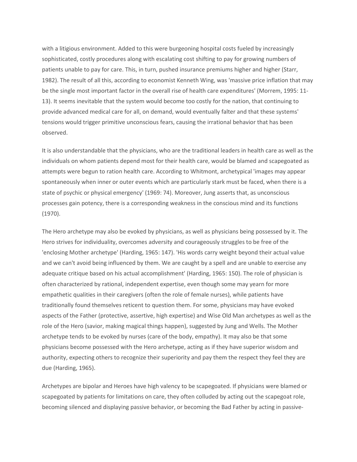with a litigious environment. Added to this were burgeoning hospital costs fueled by increasingly sophisticated, costly procedures along with escalating cost shifting to pay for growing numbers of patients unable to pay for care. This, in turn, pushed insurance premiums higher and higher (Starr, 1982). The result of all this, according to economist Kenneth Wing, was 'massive price inflation that may be the single most important factor in the overall rise of health care expenditures' (Morrem, 1995: 11- 13). It seems inevitable that the system would become too costly for the nation, that continuing to provide advanced medical care for all, on demand, would eventually falter and that these systems' tensions would trigger primitive unconscious fears, causing the irrational behavior that has been observed.

It is also understandable that the physicians, who are the traditional leaders in health care as well as the individuals on whom patients depend most for their health care, would be blamed and scapegoated as attempts were begun to ration health care. According to Whitmont, archetypical 'images may appear spontaneously when inner or outer events which are particularly stark must be faced, when there is a state of psychic or physical emergency' (1969: 74). Moreover, Jung asserts that, as unconscious processes gain potency, there is a corresponding weakness in the conscious mind and its functions (1970).

The Hero archetype may also be evoked by physicians, as well as physicians being possessed by it. The Hero strives for individuality, overcomes adversity and courageously struggles to be free of the 'enclosing Mother archetype' (Harding, 1965: 147). 'His words carry weight beyond their actual value and we can't avoid being influenced by them. We are caught by a spell and are unable to exercise any adequate critique based on his actual accomplishment' (Harding, 1965: 150). The role of physician is often characterized by rational, independent expertise, even though some may yearn for more empathetic qualities in their caregivers (often the role of female nurses), while patients have traditionally found themselves reticent to question them. For some, physicians may have evoked aspects of the Father (protective, assertive, high expertise) and Wise Old Man archetypes as well as the role of the Hero (savior, making magical things happen), suggested by Jung and Wells. The Mother archetype tends to be evoked by nurses (care of the body, empathy). It may also be that some physicians become possessed with the Hero archetype, acting as if they have superior wisdom and authority, expecting others to recognize their superiority and pay them the respect they feel they are due (Harding, 1965).

Archetypes are bipolar and Heroes have high valency to be scapegoated. If physicians were blamed or scapegoated by patients for limitations on care, they often colluded by acting out the scapegoat role, becoming silenced and displaying passive behavior, or becoming the Bad Father by acting in passive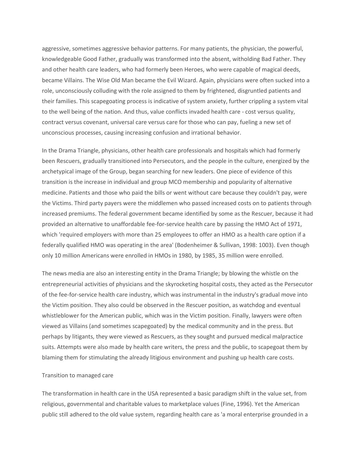aggressive, sometimes aggressive behavior patterns. For many patients, the physician, the powerful, knowledgeable Good Father, gradually was transformed into the absent, witholding Bad Father. They and other health care leaders, who had formerly been Heroes, who were capable of magical deeds, became Villains. The Wise Old Man became the Evil Wizard. Again, physicians were often sucked into a role, unconsciously colluding with the role assigned to them by frightened, disgruntled patients and their families. This scapegoating process is indicative of system anxiety, further crippling a system vital to the well being of the nation. And thus, value conflicts invaded health care - cost versus quality, contract versus covenant, universal care versus care for those who can pay, fueling a new set of unconscious processes, causing increasing confusion and irrational behavior.

In the Drama Triangle, physicians, other health care professionals and hospitals which had formerly been Rescuers, gradually transitioned into Persecutors, and the people in the culture, energized by the archetypical image of the Group, began searching for new leaders. One piece of evidence of this transition is the increase in individual and group MCO membership and popularity of alternative medicine. Patients and those who paid the bills or went without care because they couldn't pay, were the Victims. Third party payers were the middlemen who passed increased costs on to patients through increased premiums. The federal government became identified by some as the Rescuer, because it had provided an alternative to unaffordable fee-for-service health care by passing the HMO Act of 1971, which 'required employers with more than 25 employees to offer an HMO as a health care option if a federally qualified HMO was operating in the area' (Bodenheimer & Sullivan, 1998: 1003). Even though only 10 million Americans were enrolled in HMOs in 1980, by 1985, 35 million were enrolled.

The news media are also an interesting entity in the Drama Triangle; by blowing the whistle on the entrepreneurial activities of physicians and the skyrocketing hospital costs, they acted as the Persecutor of the fee-for-service health care industry, which was instrumental in the industry's gradual move into the Victim position. They also could be observed in the Rescuer position, as watchdog and eventual whistleblower for the American public, which was in the Victim position. Finally, lawyers were often viewed as Villains (and sometimes scapegoated) by the medical community and in the press. But perhaps by litigants, they were viewed as Rescuers, as they sought and pursued medical malpractice suits. Attempts were also made by health care writers, the press and the public, to scapegoat them by blaming them for stimulating the already litigious environment and pushing up health care costs.

#### Transition to managed care

The transformation in health care in the USA represented a basic paradigm shift in the value set, from religious, governmental and charitable values to marketplace values (Fine, 1996). Yet the American public still adhered to the old value system, regarding health care as 'a moral enterprise grounded in a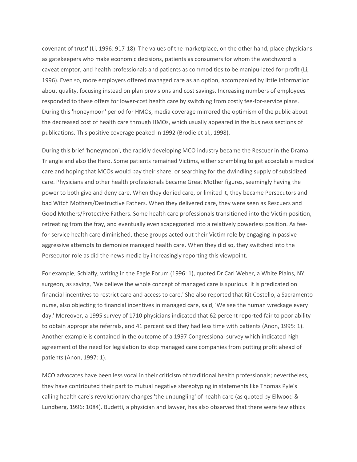covenant of trust' (Li, 1996: 917-18). The values of the marketplace, on the other hand, place physicians as gatekeepers who make economic decisions, patients as consumers for whom the watchword is caveat emptor, and health professionals and patients as commodities to be manipu-lated for profit (Li, 1996). Even so, more employers offered managed care as an option, accompanied by little information about quality, focusing instead on plan provisions and cost savings. Increasing numbers of employees responded to these offers for lower-cost health care by switching from costly fee-for-service plans. During this 'honeymoon' period for HMOs, media coverage mirrored the optimism of the public about the decreased cost of health care through HMOs, which usually appeared in the business sections of publications. This positive coverage peaked in 1992 (Brodie et al., 1998).

During this brief 'honeymoon', the rapidly developing MCO industry became the Rescuer in the Drama Triangle and also the Hero. Some patients remained Victims, either scrambling to get acceptable medical care and hoping that MCOs would pay their share, or searching for the dwindling supply of subsidized care. Physicians and other health professionals became Great Mother figures, seemingly having the power to both give and deny care. When they denied care, or limited it, they became Persecutors and bad Witch Mothers/Destructive Fathers. When they delivered care, they were seen as Rescuers and Good Mothers/Protective Fathers. Some health care professionals transitioned into the Victim position, retreating from the fray, and eventually even scapegoated into a relatively powerless position. As feefor-service health care diminished, these groups acted out their Victim role by engaging in passiveaggressive attempts to demonize managed health care. When they did so, they switched into the Persecutor role as did the news media by increasingly reporting this viewpoint.

For example, Schlafly, writing in the Eagle Forum (1996: 1), quoted Dr Carl Weber, a White Plains, NY, surgeon, as saying, 'We believe the whole concept of managed care is spurious. It is predicated on financial incentives to restrict care and access to care.' She also reported that Kit Costello, a Sacramento nurse, also objecting to financial incentives in managed care, said, 'We see the human wreckage every day.' Moreover, a 1995 survey of 1710 physicians indicated that 62 percent reported fair to poor ability to obtain appropriate referrals, and 41 percent said they had less time with patients (Anon, 1995: 1). Another example is contained in the outcome of a 1997 Congressional survey which indicated high agreement of the need for legislation to stop managed care companies from putting profit ahead of patients (Anon, 1997: 1).

MCO advocates have been less vocal in their criticism of traditional health professionals; nevertheless, they have contributed their part to mutual negative stereotyping in statements like Thomas Pyle's calling health care's revolutionary changes 'the unbungling' of health care (as quoted by Ellwood & Lundberg, 1996: 1084). Budetti, a physician and lawyer, has also observed that there were few ethics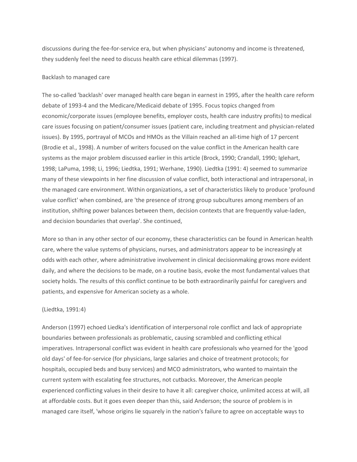discussions during the fee-for-service era, but when physicians' autonomy and income is threatened, they suddenly feel the need to discuss health care ethical dilemmas (1997).

# Backlash to managed care

The so-called 'backlash' over managed health care began in earnest in 1995, after the health care reform debate of 1993-4 and the Medicare/Medicaid debate of 1995. Focus topics changed from economic/corporate issues (employee benefits, employer costs, health care industry profits) to medical care issues focusing on patient/consumer issues (patient care, including treatment and physician-related issues). By 1995, portrayal of MCOs and HMOs as the Villain reached an all-time high of 17 percent (Brodie et al., 1998). A number of writers focused on the value conflict in the American health care systems as the major problem discussed earlier in this article (Brock, 1990; Crandall, 1990; Iglehart, 1998; LaPuma, 1998; Li, 1996; Liedtka, 1991; Werhane, 1990). Liedtka (1991: 4) seemed to summarize many of these viewpoints in her fine discussion of value conflict, both interactional and intrapersonal, in the managed care environment. Within organizations, a set of characteristics likely to produce 'profound value conflict' when combined, are 'the presence of strong group subcultures among members of an institution, shifting power balances between them, decision contexts that are frequently value-laden, and decision boundaries that overlap'. She continued,

More so than in any other sector of our economy, these characteristics can be found in American health care, where the value systems of physicians, nurses, and administrators appear to be increasingly at odds with each other, where administrative involvement in clinical decisionmaking grows more evident daily, and where the decisions to be made, on a routine basis, evoke the most fundamental values that society holds. The results of this conflict continue to be both extraordinarily painful for caregivers and patients, and expensive for American society as a whole.

#### (Liedtka, 1991:4)

Anderson (1997) echoed Liedka's identification of interpersonal role conflict and lack of appropriate boundaries between professionals as problematic, causing scrambled and conflicting ethical imperatives. Intrapersonal conflict was evident in health care professionals who yearned for the 'good old days' of fee-for-service (for physicians, large salaries and choice of treatment protocols; for hospitals, occupied beds and busy services) and MCO administrators, who wanted to maintain the current system with escalating fee structures, not cutbacks. Moreover, the American people experienced conflicting values in their desire to have it all: caregiver choice, unlimited access at will, all at affordable costs. But it goes even deeper than this, said Anderson; the source of problem is in managed care itself, 'whose origins lie squarely in the nation's failure to agree on acceptable ways to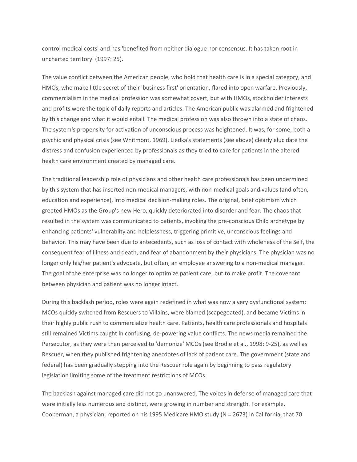control medical costs' and has 'benefited from neither dialogue nor consensus. It has taken root in uncharted territory' (1997: 25).

The value conflict between the American people, who hold that health care is in a special category, and HMOs, who make little secret of their 'business first' orientation, flared into open warfare. Previously, commercialism in the medical profession was somewhat covert, but with HMOs, stockholder interests and profits were the topic of daily reports and articles. The American public was alarmed and frightened by this change and what it would entail. The medical profession was also thrown into a state of chaos. The system's propensity for activation of unconscious process was heightened. It was, for some, both a psychic and physical crisis (see Whitmont, 1969). Liedka's statements (see above) clearly elucidate the distress and confusion experienced by professionals as they tried to care for patients in the altered health care environment created by managed care.

The traditional leadership role of physicians and other health care professionals has been undermined by this system that has inserted non-medical managers, with non-medical goals and values (and often, education and experience), into medical decision-making roles. The original, brief optimism which greeted HMOs as the Group's new Hero, quickly deteriorated into disorder and fear. The chaos that resulted in the system was communicated to patients, invoking the pre-conscious Child archetype by enhancing patients' vulnerablity and helplessness, triggering primitive, unconscious feelings and behavior. This may have been due to antecedents, such as loss of contact with wholeness of the Self, the consequent fear of illness and death, and fear of abandonment by their physicians. The physician was no longer only his/her patient's advocate, but often, an employee answering to a non-medical manager. The goal of the enterprise was no longer to optimize patient care, but to make profit. The covenant between physician and patient was no longer intact.

During this backlash period, roles were again redefined in what was now a very dysfunctional system: MCOs quickly switched from Rescuers to Villains, were blamed (scapegoated), and became Victims in their highly public rush to commercialize health care. Patients, health care professionals and hospitals still remained Victims caught in confusing, de-powering value conflicts. The news media remained the Persecutor, as they were then perceived to 'demonize' MCOs (see Brodie et al., 1998: 9-25), as well as Rescuer, when they published frightening anecdotes of lack of patient care. The government (state and federal) has been gradually stepping into the Rescuer role again by beginning to pass regulatory legislation limiting some of the treatment restrictions of MCOs.

The backlash against managed care did not go unanswered. The voices in defense of managed care that were initially less numerous and distinct, were growing in number and strength. For example, Cooperman, a physician, reported on his 1995 Medicare HMO study (N = 2673) in California, that 70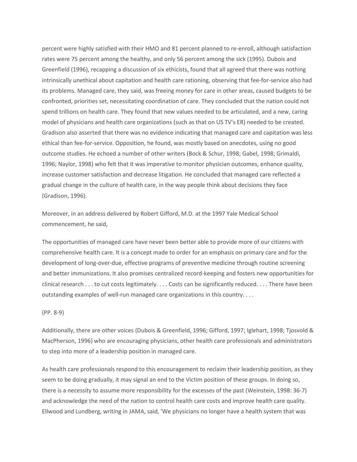percent were highly satisfied with their HMO and 81 percent planned to re-enroll, although satisfaction rates were 75 percent among the healthy, and only 56 percent among the sick (1995). Dubois and Greenfield (1996), recapping a discussion of six ethicists, found that all agreed that there was nothing intrinsically unethical about capitation and health care rationing, observing that fee-for-service also had its problems. Managed care, they said, was freeing money for care in other areas, caused budgets to be confronted, priorities set, necessitating coordination of care. They concluded that the nation could not spend trillions on health care. They found that new values needed to be articulated, and a new, caring model of physicians and health care organizations (such as that on US TV's ER) needed to be created. Gradison also asserted that there was no evidence indicating that managed care and capitation was less ethical than fee-for-service. Opposition, he found, was mostly based on anecdotes, using no good outcome studies. He echoed a number of other writers (Bock & Schur, 1998; Gabel, 1998; Grimaldi, 1996; Naylor, 1998) who felt that it was imperative to monitor physician outcomes, enhance quality, increase customer satisfaction and decrease litigation. He concluded that managed care reflected a gradual change in the culture of health care, in the way people think about decisions they face (Gradison, 1996).

Moreover, in an address delivered by Robert Gifford, M.D. at the 1997 Yale Medical School commencement, he said,

The opportunities of managed care have never been better able to provide more of our citizens with comprehensive health care. It is a concept made to order for an emphasis on primary care and for the development of long-over-due, effective programs of preventive medicine through routine screening and better immunizations. It also promises centralized record-keeping and fosters new opportunities for clinical research . . . to cut costs legitimately. . . . Costs can be significantly reduced. . . . There have been outstanding examples of well-run managed care organizations in this country. . . .

# (PP. 8-9)

Additionally, there are other voices (Dubois & Greenfield, 1996; Gifford, 1997; Iglehart, 1998; Tjosvold & MacPherson, 1996) who are encouraging physicians, other health care professionals and administrators to step into more of a leadership position in managed care.

As health care professionals respond to this encouragement to reclaim their leadership position, as they seem to be doing gradually, it may signal an end to the Victim position of these groups. In doing so, there is a necessity to assume more responsibility for the excesses of the past (Weinstein, 1998: 36-7) and acknowledge the need of the nation to control health care costs and improve health care quality. Ellwood and Lundberg, writing in JAMA, said, 'We physicians no longer have a health system that was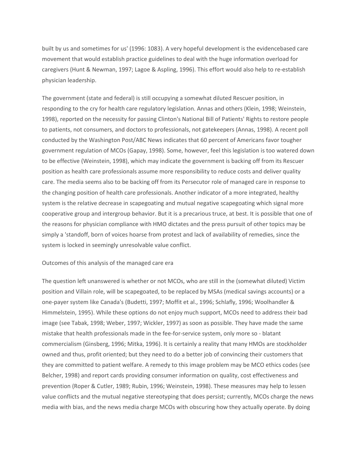built by us and sometimes for us' (1996: 1083). A very hopeful development is the evidencebased care movement that would establish practice guidelines to deal with the huge information overload for caregivers (Hunt & Newman, 1997; Lagoe & Aspling, 1996). This effort would also help to re-establish physician leadership.

The government (state and federal) is still occupying a somewhat diluted Rescuer position, in responding to the cry for health care regulatory legislation. Annas and others (Klein, 1998; Weinstein, 1998), reported on the necessity for passing Clinton's National Bill of Patients' Rights to restore people to patients, not consumers, and doctors to professionals, not gatekeepers (Annas, 1998). A recent poll conducted by the Washington Post/ABC News indicates that 60 percent of Americans favor tougher government regulation of MCOs (Gapay, 1998). Some, however, feel this legislation is too watered down to be effective (Weinstein, 1998), which may indicate the government is backing off from its Rescuer position as health care professionals assume more responsibility to reduce costs and deliver quality care. The media seems also to be backing off from its Persecutor role of managed care in response to the changing position of health care professionals. Another indicator of a more integrated, healthy system is the relative decrease in scapegoating and mutual negative scapegoating which signal more cooperative group and intergroup behavior. But it is a precarious truce, at best. It is possible that one of the reasons for physician compliance with HMO dictates and the press pursuit of other topics may be simply a 'standoff, born of voices hoarse from protest and lack of availability of remedies, since the system is locked in seemingly unresolvable value conflict.

# Outcomes of this analysis of the managed care era

The question left unanswered is whether or not MCOs, who are still in the (somewhat diluted) Victim position and Villain role, will be scapegoated, to be replaced by MSAs (medical savings accounts) or a one-payer system like Canada's (Budetti, 1997; Moffit et al., 1996; Schlafly, 1996; Woolhandler & Himmelstein, 1995). While these options do not enjoy much support, MCOs need to address their bad image (see Tabak, 1998; Weber, 1997; Wickler, 1997) as soon as possible. They have made the same mistake that health professionals made in the fee-for-service system, only more so - blatant commercialism (Ginsberg, 1996; Mitka, 1996). It is certainly a reality that many HMOs are stockholder owned and thus, profit oriented; but they need to do a better job of convincing their customers that they are committed to patient welfare. A remedy to this image problem may be MCO ethics codes (see Belcher, 1998) and report cards providing consumer information on quality, cost effectiveness and prevention (Roper & Cutler, 1989; Rubin, 1996; Weinstein, 1998). These measures may help to lessen value conflicts and the mutual negative stereotyping that does persist; currently, MCOs charge the news media with bias, and the news media charge MCOs with obscuring how they actually operate. By doing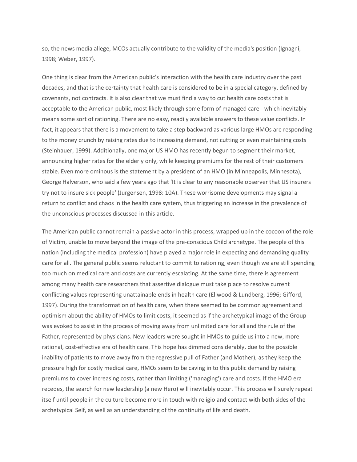so, the news media allege, MCOs actually contribute to the validity of the media's position (Ignagni, 1998; Weber, 1997).

One thing is clear from the American public's interaction with the health care industry over the past decades, and that is the certainty that health care is considered to be in a special category, defined by covenants, not contracts. It is also clear that we must find a way to cut health care costs that is acceptable to the American public, most likely through some form of managed care - which inevitably means some sort of rationing. There are no easy, readily available answers to these value conflicts. In fact, it appears that there is a movement to take a step backward as various large HMOs are responding to the money crunch by raising rates due to increasing demand, not cutting or even maintaining costs (Steinhauer, 1999). Additionally, one major US HMO has recently begun to segment their market, announcing higher rates for the elderly only, while keeping premiums for the rest of their customers stable. Even more ominous is the statement by a president of an HMO (in Minneapolis, Minnesota), George Halverson, who said a few years ago that 'It is clear to any reasonable observer that US insurers try not to insure sick people' (Jurgensen, 1998: 10A). These worrisome developments may signal a return to conflict and chaos in the health care system, thus triggering an increase in the prevalence of the unconscious processes discussed in this article.

The American public cannot remain a passive actor in this process, wrapped up in the cocoon of the role of Victim, unable to move beyond the image of the pre-conscious Child archetype. The people of this nation (including the medical profession) have played a major role in expecting and demanding quality care for all. The general public seems reluctant to commit to rationing, even though we are still spending too much on medical care and costs are currently escalating. At the same time, there is agreement among many health care researchers that assertive dialogue must take place to resolve current conflicting values representing unattainable ends in health care (Ellwood & Lundberg, 1996; Gifford, 1997). During the transformation of health care, when there seemed to be common agreement and optimism about the ability of HMOs to limit costs, it seemed as if the archetypical image of the Group was evoked to assist in the process of moving away from unlimited care for all and the rule of the Father, represented by physicians. New leaders were sought in HMOs to guide us into a new, more rational, cost-effective era of health care. This hope has dimmed considerably, due to the possible inability of patients to move away from the regressive pull of Father (and Mother), as they keep the pressure high for costly medical care, HMOs seem to be caving in to this public demand by raising premiums to cover increasing costs, rather than limiting ('managing') care and costs. If the HMO era recedes, the search for new leadership (a new Hero) will inevitably occur. This process will surely repeat itself until people in the culture become more in touch with religio and contact with both sides of the archetypical Self, as well as an understanding of the continuity of life and death.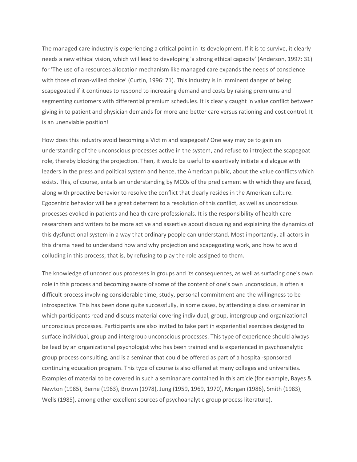The managed care industry is experiencing a critical point in its development. If it is to survive, it clearly needs a new ethical vision, which will lead to developing 'a strong ethical capacity' (Anderson, 1997: 31) for 'The use of a resources allocation mechanism like managed care expands the needs of conscience with those of man-willed choice' (Curtin, 1996: 71). This industry is in imminent danger of being scapegoated if it continues to respond to increasing demand and costs by raising premiums and segmenting customers with differential premium schedules. It is clearly caught in value conflict between giving in to patient and physician demands for more and better care versus rationing and cost control. It is an unenviable position!

How does this industry avoid becoming a Victim and scapegoat? One way may be to gain an understanding of the unconscious processes active in the system, and refuse to introject the scapegoat role, thereby blocking the projection. Then, it would be useful to assertively initiate a dialogue with leaders in the press and political system and hence, the American public, about the value conflicts which exists. This, of course, entails an understanding by MCOs of the predicament with which they are faced, along with proactive behavior to resolve the conflict that clearly resides in the American culture. Egocentric behavior will be a great deterrent to a resolution of this conflict, as well as unconscious processes evoked in patients and health care professionals. It is the responsibility of health care researchers and writers to be more active and assertive about discussing and explaining the dynamics of this dysfunctional system in a way that ordinary people can understand. Most importantly, all actors in this drama need to understand how and why projection and scapegoating work, and how to avoid colluding in this process; that is, by refusing to play the role assigned to them.

The knowledge of unconscious processes in groups and its consequences, as well as surfacing one's own role in this process and becoming aware of some of the content of one's own unconscious, is often a difficult process involving considerable time, study, personal commitment and the willingness to be introspective. This has been done quite successfully, in some cases, by attending a class or seminar in which participants read and discuss material covering individual, group, intergroup and organizational unconscious processes. Participants are also invited to take part in experiential exercises designed to surface individual, group and intergroup unconscious processes. This type of experience should always be lead by an organizational psychologist who has been trained and is experienced in psychoanalytic group process consulting, and is a seminar that could be offered as part of a hospital-sponsored continuing education program. This type of course is also offered at many colleges and universities. Examples of material to be covered in such a seminar are contained in this article (for example, Bayes & Newton (1985), Berne (1963), Brown (1978), Jung (1959, 1969, 1970), Morgan (1986), Smith (1983), Wells (1985), among other excellent sources of psychoanalytic group process literature).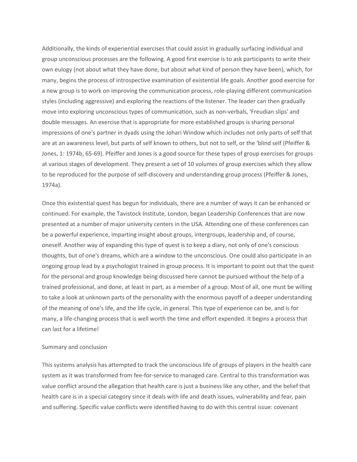Additionally, the kinds of experiential exercises that could assist in gradually surfacing individual and group unconscious processes are the following. A good first exercise is to ask participants to write their own eulogy (not about what they have done, but about what kind of person they have been), which, for many, begins the process of introspective examination of existential life goals. Another good exercise for a new group is to work on improving the communication process, role-playing different communication styles (including aggressive) and exploring the reactions of the listener. The leader can then gradually move into exploring unconscious types of communication, such as non-verbals, 'Freudian slips' and double messages. An exercise that is appropriate for more established groups is sharing personal impressions of one's partner in dyads using the Johari Window which includes not only parts of self that are at an awareness level, but parts of self known to others, but not to self, or the 'blind self (Pfeiffer & Jones, 1: 1974b, 65-69). Pfeiffer and Jones is a good source for these types of group exercises for groups at various stages of development. They present a set of 10 volumes of group exercises which they allow to be reproduced for the purpose of self-discovery and understanding group process (Pfeiffer & Jones, 1974a).

Once this existential quest has begun for individuals, there are a number of ways it can be enhanced or continued. For example, the Tavistock Institute, London, began Leadership Conferences that are now presented at a number of major university centers in the USA. Attending one of these conferences can be a powerful experience, imparting insight about groups, intergroups, leadership and, of course, oneself. Another way of expanding this type of quest is to keep a diary, not only of one's conscious thoughts, but of one's dreams, which are a window to the unconscious. One could also participate in an ongoing group lead by a psychologist trained in group process. It is important to point out that the quest for the personal and group knowledge being discussed here cannot be pursued without the help of a trained professional, and done, at least in part, as a member of a group. Most of all, one must be willing to take a look at unknown parts of the personality with the enormous payoff of a deeper understanding of the meaning of one's life, and the life cycle, in general. This type of experience can be, and is for many, a life-changing process that is well worth the time and effort expended. It begins a process that can last for a lifetime!

## Summary and conclusion

This systems analysis has attempted to track the unconscious life of groups of players in the health care system as it was transformed from fee-for-service to managed care. Central to this transformation was value conflict around the allegation that health care is just a business like any other, and the belief that health care is in a special category since it deals with life and death issues, vulnerability and fear, pain and suffering. Specific value conflicts were identified having to do with this central issue: covenant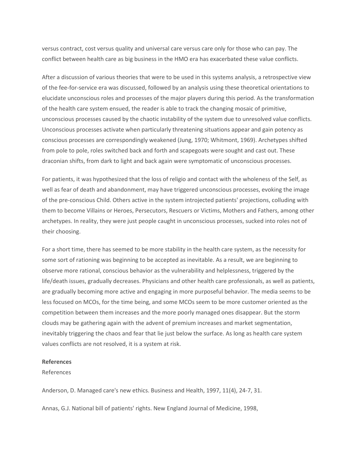versus contract, cost versus quality and universal care versus care only for those who can pay. The conflict between health care as big business in the HMO era has exacerbated these value conflicts.

After a discussion of various theories that were to be used in this systems analysis, a retrospective view of the fee-for-service era was discussed, followed by an analysis using these theoretical orientations to elucidate unconscious roles and processes of the major players during this period. As the transformation of the health care system ensued, the reader is able to track the changing mosaic of primitive, unconscious processes caused by the chaotic instability of the system due to unresolved value conflicts. Unconscious processes activate when particularly threatening situations appear and gain potency as conscious processes are correspondingly weakened (Jung, 1970; Whitmont, 1969). Archetypes shifted from pole to pole, roles switched back and forth and scapegoats were sought and cast out. These draconian shifts, from dark to light and back again were symptomatic of unconscious processes.

For patients, it was hypothesized that the loss of religio and contact with the wholeness of the Self, as well as fear of death and abandonment, may have triggered unconscious processes, evoking the image of the pre-conscious Child. Others active in the system introjected patients' projections, colluding with them to become Villains or Heroes, Persecutors, Rescuers or Victims, Mothers and Fathers, among other archetypes. In reality, they were just people caught in unconscious processes, sucked into roles not of their choosing.

For a short time, there has seemed to be more stability in the health care system, as the necessity for some sort of rationing was beginning to be accepted as inevitable. As a result, we are beginning to observe more rational, conscious behavior as the vulnerability and helplessness, triggered by the life/death issues, gradually decreases. Physicians and other health care professionals, as well as patients, are gradually becoming more active and engaging in more purposeful behavior. The media seems to be less focused on MCOs, for the time being, and some MCOs seem to be more customer oriented as the competition between them increases and the more poorly managed ones disappear. But the storm clouds may be gathering again with the advent of premium increases and market segmentation, inevitably triggering the chaos and fear that lie just below the surface. As long as health care system values conflicts are not resolved, it is a system at risk.

# References

References

Anderson, D. Managed care's new ethics. Business and Health, 1997, 11(4), 24-7, 31.

Annas, G.J. National bill of patients' rights. New England Journal of Medicine, 1998,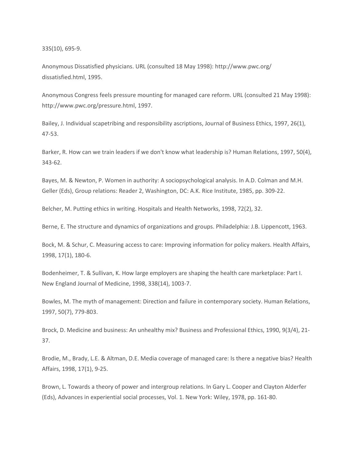33S(10), 695-9.

Anonymous Dissatisfied physicians. URL (consulted 18 May 1998): http://www.pwc.org/ dissatisfied.html, 1995.

Anonymous Congress feels pressure mounting for managed care reform. URL (consulted 21 May 1998): http://www.pwc.org/pressure.html, 1997.

Bailey, J. Individual scapetribing and responsibility ascriptions, Journal of Business Ethics, 1997, 26(1), 47-53.

Barker, R. How can we train leaders if we don't know what leadership is? Human Relations, 1997, 50(4), 343-62.

Bayes, M. & Newton, P. Women in authority: A sociopsychological analysis. In A.D. Colman and M.H. Geller (Eds), Group relations: Reader 2, Washington, DC: A.K. Rice Institute, 1985, pp. 309-22.

Belcher, M. Putting ethics in writing. Hospitals and Health Networks, 1998, 72(2), 32.

Berne, E. The structure and dynamics of organizations and groups. Philadelphia: J.B. Lippencott, 1963.

Bock, M. & Schur, C. Measuring access to care: Improving information for policy makers. Health Affairs, 1998, 17(1), 180-6.

Bodenheimer, T. & Sullivan, K. How large employers are shaping the health care marketplace: Part I. New England Journal of Medicine, 1998, 338(14), 1003-7.

Bowles, M. The myth of management: Direction and failure in contemporary society. Human Relations, 1997, 50(7), 779-803.

Brock, D. Medicine and business: An unhealthy mix? Business and Professional Ethics, 1990, 9(3/4), 21- 37.

Brodie, M., Brady, L.E. & Altman, D.E. Media coverage of managed care: Is there a negative bias? Health Affairs, 1998, 17(1), 9-25.

Brown, L. Towards a theory of power and intergroup relations. In Gary L. Cooper and Clayton Alderfer (Eds), Advances in experiential social processes, Vol. 1. New York: Wiley, 1978, pp. 161-80.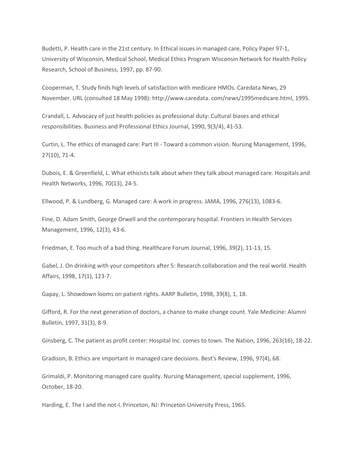Budetti, P. Health care in the 21st century. In Ethical issues in managed care, Policy Paper 97-1, University of Wisconsin, Medical School, Medical Ethics Program Wisconsin Network for Health Policy Research, School of Business, 1997, pp. 87-90.

Cooperman, T. Study finds high levels of satisfaction with medicare HMOs. Caredata News, 29 November. URL (consulted 18 May 1998): http://www.caredata. com/news/1995medicare.html, 1995.

Crandall, L. Advocacy of just health policies as professional duty: Cultural biases and ethical responsibilities. Business and Professional Ethics Journal, 1990, 9(3/4), 41-53.

Curtin, L. The ethics of managed care: Part III - Toward a common vision. Nursing Management, 1996, 27(10), 71-4.

Dubois, E. & Greenfield, L. What ethicists talk about when they talk about managed care. Hospitals and Health Networks, 1996, 70(13), 24-5.

Ellwood, P. & Lundberg, G. Managed care: A work in progress. JAMA, 1996, 276(13), 1083-6.

Fine, D. Adam Smith, George Orwell and the contemporary hospital. Frontiers in Health Services Management, 1996, 12(3), 43-6.

Friedman, E. Too much of a bad thing. Healthcare Forum Journal, 1996, 39(2), 11-13, 15.

Gabel, J. On drinking with your competitors after 5: Research collaboration and the real world. Health Affairs, 1998, 17(1), 123-7.

Gapay, L. Showdown looms on patient rights. AARP Bulletin, 1998, 39(8), 1, 18.

Gifford, R. For the next generation of doctors, a chance to make change count. Yale Medicine: Alumni Bulletin, 1997, 31(3), 8-9.

Ginsberg, C. The patient as profit center: Hospital Inc. comes to town. The Nation, 1996, 263(16), 18-22.

Gradison, B. Ethics are important in managed care decisions. Best's Review, 1996, 97(4), 68.

Grimaldi, P. Monitoring managed care quality. Nursing Management, special supplement, 1996, October, 18-20.

Harding, E. The I and the not-I. Princeton, NJ: Princeton University Press, 1965.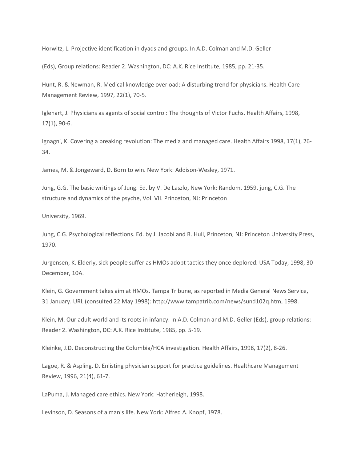Horwitz, L. Projective identification in dyads and groups. In A.D. Colman and M.D. Geller

(Eds), Group relations: Reader 2. Washington, DC: A.K. Rice Institute, 1985, pp. 21-35.

Hunt, R. & Newman, R. Medical knowledge overload: A disturbing trend for physicians. Health Care Management Review, 1997, 22(1), 70-5.

Iglehart, J. Physicians as agents of social control: The thoughts of Victor Fuchs. Health Affairs, 1998, 17(1), 90-6.

Ignagni, K. Covering a breaking revolution: The media and managed care. Health Affairs 1998, 17(1), 26- 34.

James, M. & Jongeward, D. Born to win. New York: Addison-Wesley, 1971.

Jung, G.G. The basic writings of Jung. Ed. by V. De Laszlo, New York: Random, 1959. jung, C.G. The structure and dynamics of the psyche, Vol. VII. Princeton, NJ: Princeton

University, 1969.

Jung, C.G. Psychological reflections. Ed. by J. Jacobi and R. Hull, Princeton, NJ: Princeton University Press, 1970.

Jurgensen, K. Elderly, sick people suffer as HMOs adopt tactics they once deplored. USA Today, 1998, 30 December, 10A.

Klein, G. Government takes aim at HMOs. Tampa Tribune, as reported in Media General News Service, 31 January. URL (consulted 22 May 1998): http://www.tampatrib.com/news/sund102q.htm, 1998.

Klein, M. Our adult world and its roots in infancy. In A.D. Colman and M.D. Geller (Eds), group relations: Reader 2. Washington, DC: A.K. Rice Institute, 1985, pp. 5-19.

Kleinke, J.D. Deconstructing the Columbia/HCA investigation. Health Affairs, 1998, 17(2), 8-26.

Lagoe, R. & Aspling, D. Enlisting physician support for practice guidelines. Healthcare Management Review, 1996, 21(4), 61-7.

LaPuma, J. Managed care ethics. New York: Hatherleigh, 1998.

Levinson, D. Seasons of a man's life. New York: Alfred A. Knopf, 1978.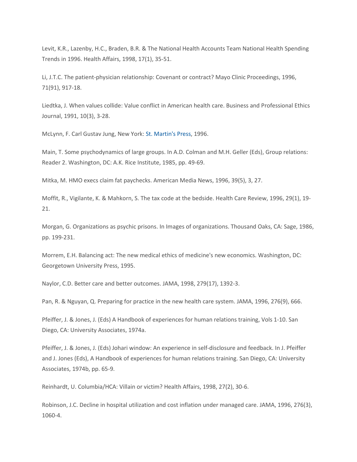Levit, K.R., Lazenby, H.C., Braden, B.R. & The National Health Accounts Team National Health Spending Trends in 1996. Health Affairs, 1998, 17(1), 35-51.

Li, J.T.C. The patient-physician relationship: Covenant or contract? Mayo Clinic Proceedings, 1996, 71(91), 917-18.

Liedtka, J. When values collide: Value conflict in American health care. Business and Professional Ethics Journal, 1991, 10(3), 3-28.

McLynn, F. Carl Gustav Jung, New York: St. Martin's Press, 1996.

Main, T. Some psychodynamics of large groups. In A.D. Colman and M.H. Geller (Eds), Group relations: Reader 2. Washington, DC: A.K. Rice Institute, 1985, pp. 49-69.

Mitka, M. HMO execs claim fat paychecks. American Media News, 1996, 39(5), 3, 27.

Moffit, R., Vigilante, K. & Mahkorn, S. The tax code at the bedside. Health Care Review, 1996, 29(1), 19- 21.

Morgan, G. Organizations as psychic prisons. In Images of organizations. Thousand Oaks, CA: Sage, 1986, pp. 199-231.

Morrem, E.H. Balancing act: The new medical ethics of medicine's new economics. Washington, DC: Georgetown University Press, 1995.

Naylor, C.D. Better care and better outcomes. JAMA, 1998, 279(17), 1392-3.

Pan, R. & Nguyan, Q. Preparing for practice in the new health care system. JAMA, 1996, 276(9), 666.

Pfeiffer, J. & Jones, J. (Eds) A Handbook of experiences for human relations training, Vols 1-10. San Diego, CA: University Associates, 1974a.

Pfeiffer, J. & Jones, J. (Eds) Johari window: An experience in self-disclosure and feedback. In J. Pfeiffer and J. Jones (Eds), A Handbook of experiences for human relations training. San Diego, CA: University Associates, 1974b, pp. 65-9.

Reinhardt, U. Columbia/HCA: Villain or victim? Health Affairs, 1998, 27(2), 30-6.

Robinson, J.C. Decline in hospital utilization and cost inflation under managed care. JAMA, 1996, 276(3), 1060-4.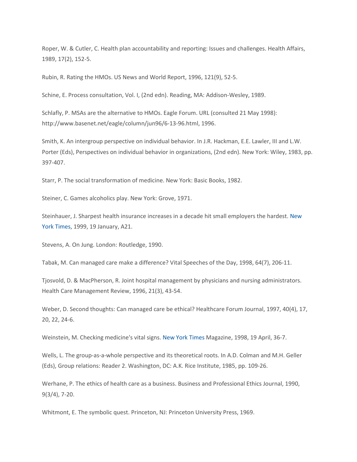Roper, W. & Cutler, C. Health plan accountability and reporting: Issues and challenges. Health Affairs, 1989, 17(2), 152-5.

Rubin, R. Rating the HMOs. US News and World Report, 1996, 121(9), 52-5.

Schine, E. Process consultation, Vol. I, (2nd edn). Reading, MA: Addison-Wesley, 1989.

Schlafly, P. MSAs are the alternative to HMOs. Eagle Forum. URL (consulted 21 May 1998): http://www.basenet.net/eagle/column/jun96/6-13-96.html, 1996.

Smith, K. An intergroup perspective on individual behavior. In J.R. Hackman, E.E. Lawler, III and L.W. Porter (Eds), Perspectives on individual behavior in organizations, (2nd edn). New York: Wiley, 1983, pp. 397-407.

Starr, P. The social transformation of medicine. New York: Basic Books, 1982.

Steiner, C. Games alcoholics play. New York: Grove, 1971.

Steinhauer, J. Sharpest health insurance increases in a decade hit small employers the hardest. New York Times, 1999, 19 January, A21.

Stevens, A. On Jung. London: Routledge, 1990.

Tabak, M. Can managed care make a difference? Vital Speeches of the Day, 1998, 64(7), 206-11.

Tjosvold, D. & MacPherson, R. Joint hospital management by physicians and nursing administrators. Health Care Management Review, 1996, 21(3), 43-54.

Weber, D. Second thoughts: Can managed care be ethical? Healthcare Forum Journal, 1997, 40(4), 17, 20, 22, 24-6.

Weinstein, M. Checking medicine's vital signs. New York Times Magazine, 1998, 19 April, 36-7.

Wells, L. The group-as-a-whole perspective and its theoretical roots. In A.D. Colman and M.H. Geller (Eds), Group relations: Reader 2. Washington, DC: A.K. Rice Institute, 1985, pp. 109-26.

Werhane, P. The ethics of health care as a business. Business and Professional Ethics Journal, 1990, 9(3/4), 7-20.

Whitmont, E. The symbolic quest. Princeton, NJ: Princeton University Press, 1969.